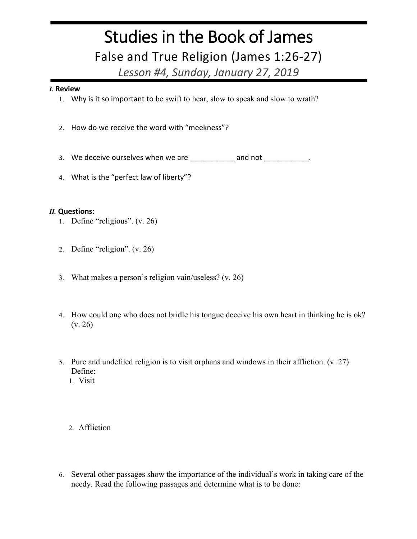## Studies in the Book of James False and True Religion (James 1:26-27)

*Lesson #4, Sunday, January 27, 2019*

## *I.* **Review**

- 1. Why is it so important to be swift to hear, slow to speak and slow to wrath?
- 2. How do we receive the word with "meekness"?
- 3. We deceive ourselves when we are \_\_\_\_\_\_\_\_\_\_\_\_ and not \_\_\_\_\_\_\_\_\_\_\_\_
- 4. What is the "perfect law of liberty"?

## *II.* **Questions:**

- 1. Define "religious". (v. 26)
- 2. Define "religion". (v. 26)
- 3. What makes a person's religion vain/useless? (v. 26)
- 4. How could one who does not bridle his tongue deceive his own heart in thinking he is ok? (v. 26)
- 5. Pure and undefiled religion is to visit orphans and windows in their affliction. (v. 27) Define:
	- 1. Visit
	- 2. Affliction
- 6. Several other passages show the importance of the individual's work in taking care of the needy. Read the following passages and determine what is to be done: